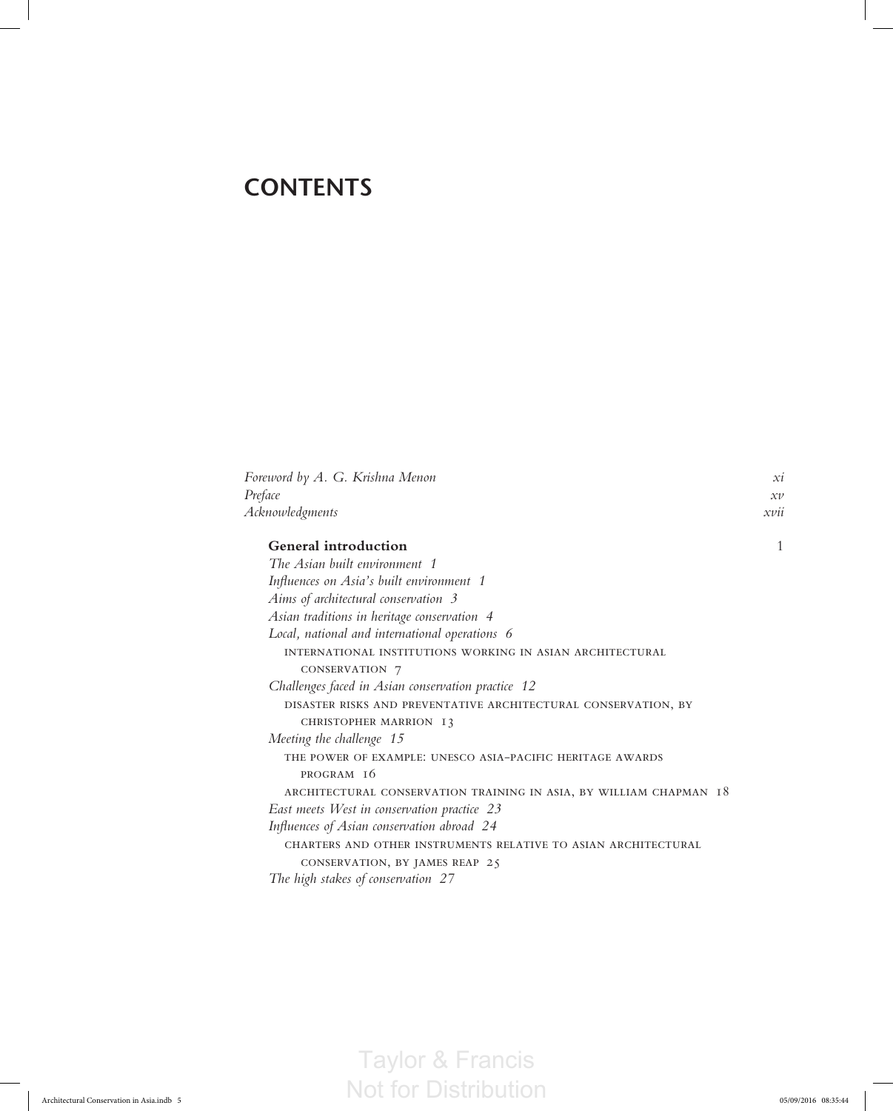## **CONTENTS**

| Foreword by A. G. Krishna Menon                                    |   |  |
|--------------------------------------------------------------------|---|--|
| Preface                                                            |   |  |
| Acknowledgments                                                    |   |  |
| <b>General introduction</b>                                        | 1 |  |
| The Asian built environment 1                                      |   |  |
| Influences on Asia's built environment 1                           |   |  |
| Aims of architectural conservation 3                               |   |  |
| Asian traditions in heritage conservation 4                        |   |  |
| Local, national and international operations 6                     |   |  |
| INTERNATIONAL INSTITUTIONS WORKING IN ASIAN ARCHITECTURAL          |   |  |
| CONSERVATION 7                                                     |   |  |
| Challenges faced in Asian conservation practice 12                 |   |  |
| DISASTER RISKS AND PREVENTATIVE ARCHITECTURAL CONSERVATION, BY     |   |  |
| CHRISTOPHER MARRION 13                                             |   |  |
| Meeting the challenge 15                                           |   |  |
| THE POWER OF EXAMPLE: UNESCO ASIA-PACIFIC HERITAGE AWARDS          |   |  |
| PROGRAM 16                                                         |   |  |
| ARCHITECTURAL CONSERVATION TRAINING IN ASIA, BY WILLIAM CHAPMAN 18 |   |  |
| East meets West in conservation practice 23                        |   |  |
| Influences of Asian conservation abroad 24                         |   |  |
| CHARTERS AND OTHER INSTRUMENTS RELATIVE TO ASIAN ARCHITECTURAL     |   |  |
| CONSERVATION, BY JAMES REAP 25                                     |   |  |
| The high stakes of conservation 27                                 |   |  |

Taylor & Francis Architectural Conservation in Asia.indb 5 05/09/2016 08:35:44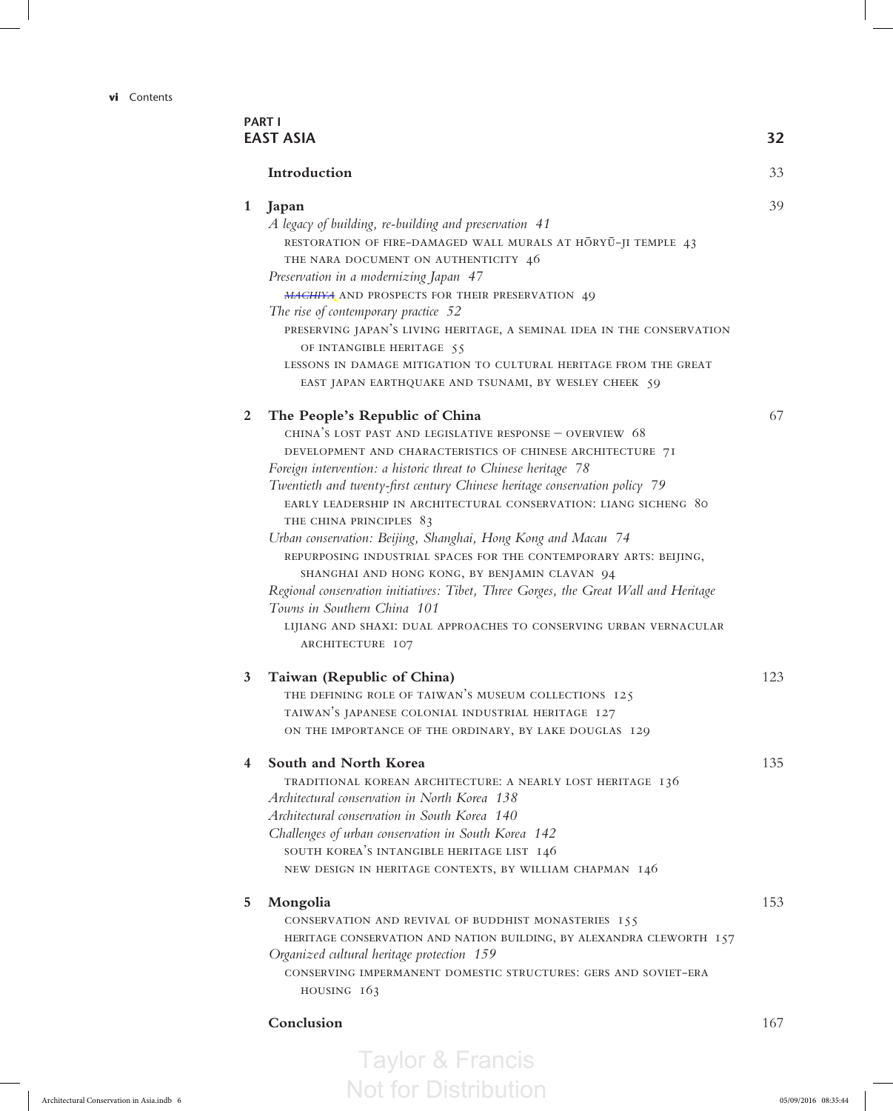**vi** Contents

|              | Introduction                                                                                                                                                                             | 33  |
|--------------|------------------------------------------------------------------------------------------------------------------------------------------------------------------------------------------|-----|
|              |                                                                                                                                                                                          |     |
| $\mathbf{1}$ | Japan<br>A legacy of building, re-building and preservation 41<br>RESTORATION OF FIRE-DAMAGED WALL MURALS AT HORYU-JI TEMPLE 43<br>THE NARA DOCUMENT ON AUTHENTICITY 46                  | 39  |
|              | Preservation in a modernizing Japan 47<br>MACHIYA AND PROSPECTS FOR THEIR PRESERVATION 49<br>The rise of contemporary practice 52                                                        |     |
|              | PRESERVING JAPAN'S LIVING HERITAGE, A SEMINAL IDEA IN THE CONSERVATION<br>OF INTANGIBLE HERITAGE 55                                                                                      |     |
|              | LESSONS IN DAMAGE MITIGATION TO CULTURAL HERITAGE FROM THE GREAT<br>EAST JAPAN EARTHQUAKE AND TSUNAMI, BY WESLEY CHEEK 59                                                                |     |
| 2            | The People's Republic of China                                                                                                                                                           | 67  |
|              | CHINA'S LOST PAST AND LEGISLATIVE RESPONSE - OVERVIEW 68<br>DEVELOPMENT AND CHARACTERISTICS OF CHINESE ARCHITECTURE 71<br>Foreign intervention: a historic threat to Chinese heritage 78 |     |
|              | Twentieth and twenty-first century Chinese heritage conservation policy 79<br>EARLY LEADERSHIP IN ARCHITECTURAL CONSERVATION: LIANG SICHENG 80<br>THE CHINA PRINCIPLES 83                |     |
|              | Urban conservation: Beijing, Shanghai, Hong Kong and Macau 74<br>REPURPOSING INDUSTRIAL SPACES FOR THE CONTEMPORARY ARTS: BEIJING,<br>SHANGHAI AND HONG KONG, BY BENJAMIN CLAVAN 94      |     |
|              | Regional conservation initiatives: Tibet, Three Gorges, the Great Wall and Heritage<br>Towns in Southern China 101                                                                       |     |
|              | LIJIANG AND SHAXI: DUAL APPROACHES TO CONSERVING URBAN VERNACULAR<br>ARCHITECTURE 107                                                                                                    |     |
| 3            | Taiwan (Republic of China)                                                                                                                                                               | 123 |
|              | THE DEFINING ROLE OF TAIWAN'S MUSEUM COLLECTIONS 125                                                                                                                                     |     |
|              | TAIWAN'S JAPANESE COLONIAL INDUSTRIAL HERITAGE 127                                                                                                                                       |     |
|              | ON THE IMPORTANCE OF THE ORDINARY, BY LAKE DOUGLAS 129                                                                                                                                   |     |
| 4            | South and North Korea                                                                                                                                                                    | 135 |
|              | TRADITIONAL KOREAN ARCHITECTURE: A NEARLY LOST HERITAGE 136                                                                                                                              |     |
|              | Architectural conservation in North Korea 138                                                                                                                                            |     |
|              | Architectural conservation in South Korea 140                                                                                                                                            |     |
|              | Challenges of urban conservation in South Korea 142<br>SOUTH KOREA'S INTANGIBLE HERITAGE LIST 146                                                                                        |     |
|              | NEW DESIGN IN HERITAGE CONTEXTS, BY WILLIAM CHAPMAN 146                                                                                                                                  |     |
| 5            | Mongolia                                                                                                                                                                                 | 153 |
|              | CONSERVATION AND REVIVAL OF BUDDHIST MONASTERIES 155<br>HERITAGE CONSERVATION AND NATION BUILDING, BY ALEXANDRA CLEWORTH 157                                                             |     |
|              | Organized cultural heritage protection 159                                                                                                                                               |     |
|              | CONSERVING IMPERMANENT DOMESTIC STRUCTURES: GERS AND SOVIET-ERA<br>HOUSING $163$                                                                                                         |     |
|              | Conclusion                                                                                                                                                                               | 167 |
|              |                                                                                                                                                                                          |     |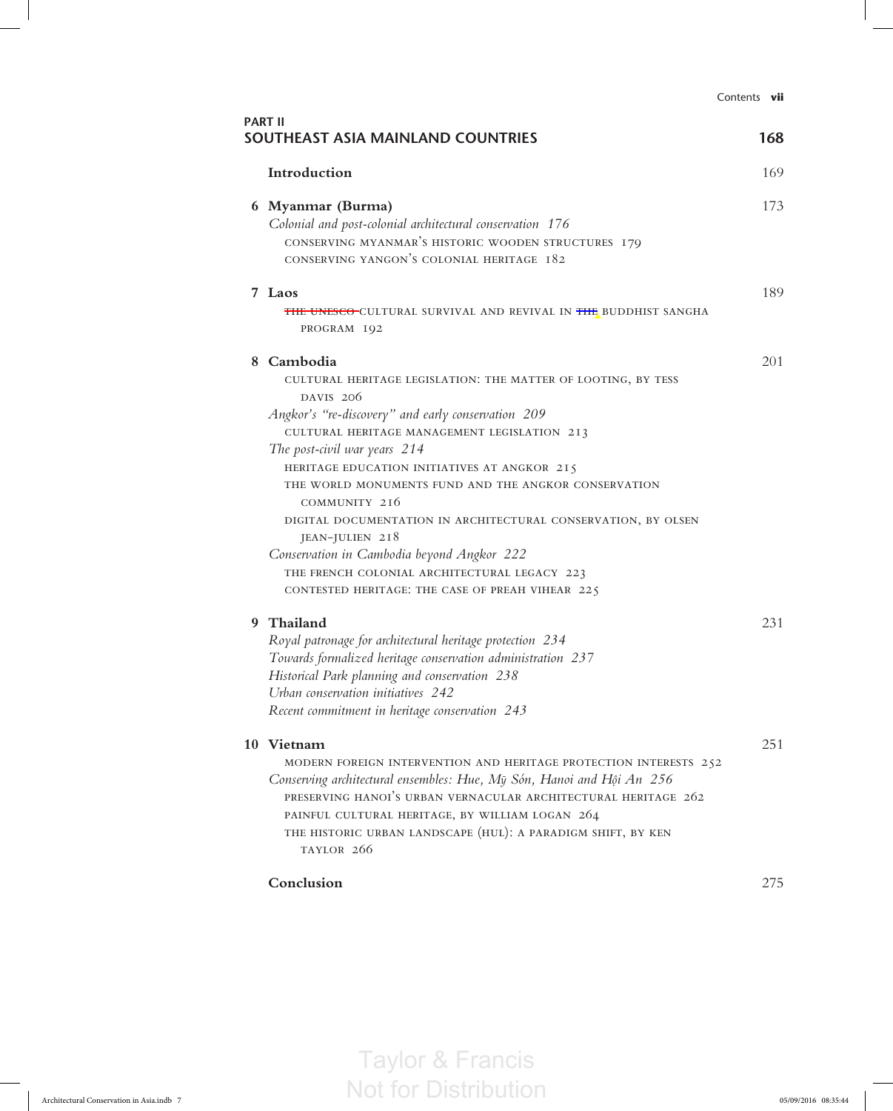|                                                                                                                                                                                                                                                                                                                                                                                                                                                                                                                                                                                               | Contents vii |
|-----------------------------------------------------------------------------------------------------------------------------------------------------------------------------------------------------------------------------------------------------------------------------------------------------------------------------------------------------------------------------------------------------------------------------------------------------------------------------------------------------------------------------------------------------------------------------------------------|--------------|
| <b>PART II</b><br>SOUTHEAST ASIA MAINLAND COUNTRIES                                                                                                                                                                                                                                                                                                                                                                                                                                                                                                                                           | 168          |
| Introduction                                                                                                                                                                                                                                                                                                                                                                                                                                                                                                                                                                                  | 169          |
| 6 Myanmar (Burma)<br>Colonial and post-colonial architectural conservation 176<br>CONSERVING MYANMAR'S HISTORIC WOODEN STRUCTURES 179<br>CONSERVING YANGON'S COLONIAL HERITAGE 182                                                                                                                                                                                                                                                                                                                                                                                                            | 173          |
| 7 Laos<br><b>THE UNESCO-</b> CULTURAL SURVIVAL AND REVIVAL IN THE BUDDHIST SANGHA<br>PROGRAM 192                                                                                                                                                                                                                                                                                                                                                                                                                                                                                              | 189          |
| 8 Cambodia<br>CULTURAL HERITAGE LEGISLATION: THE MATTER OF LOOTING, BY TESS<br>DAVIS 206<br>Angkor's "re-discovery" and early conservation 209<br>CULTURAL HERITAGE MANAGEMENT LEGISLATION 213<br>The post-civil war years 214<br>HERITAGE EDUCATION INITIATIVES AT ANGKOR 215<br>THE WORLD MONUMENTS FUND AND THE ANGKOR CONSERVATION<br>COMMUNITY 216<br>DIGITAL DOCUMENTATION IN ARCHITECTURAL CONSERVATION, BY OLSEN<br>JEAN-JULIEN 218<br>Conservation in Cambodia beyond Angkor 222<br>THE FRENCH COLONIAL ARCHITECTURAL LEGACY 223<br>CONTESTED HERITAGE: THE CASE OF PREAH VIHEAR 225 | 201          |
| 9 Thailand<br>Royal patronage for architectural heritage protection 234<br>Towards formalized heritage conservation administration 237<br>Historical Park planning and conservation 238<br>Urban conservation initiatives 242<br>Recent commitment in heritage conservation 243                                                                                                                                                                                                                                                                                                               | 231          |
| 10 Vietnam<br>MODERN FOREIGN INTERVENTION AND HERITAGE PROTECTION INTERESTS 252<br>Conserving architectural ensembles: Hue, Mỹ Són, Hanoi and Hội An 256<br>PRESERVING HANOI'S URBAN VERNACULAR ARCHITECTURAL HERITAGE 262<br>PAINFUL CULTURAL HERITAGE, BY WILLIAM LOGAN 264<br>THE HISTORIC URBAN LANDSCAPE (HUL): A PARADIGM SHIFT, BY KEN<br>TAYLOR 266                                                                                                                                                                                                                                   | 251          |
| Conclusion                                                                                                                                                                                                                                                                                                                                                                                                                                                                                                                                                                                    | 275          |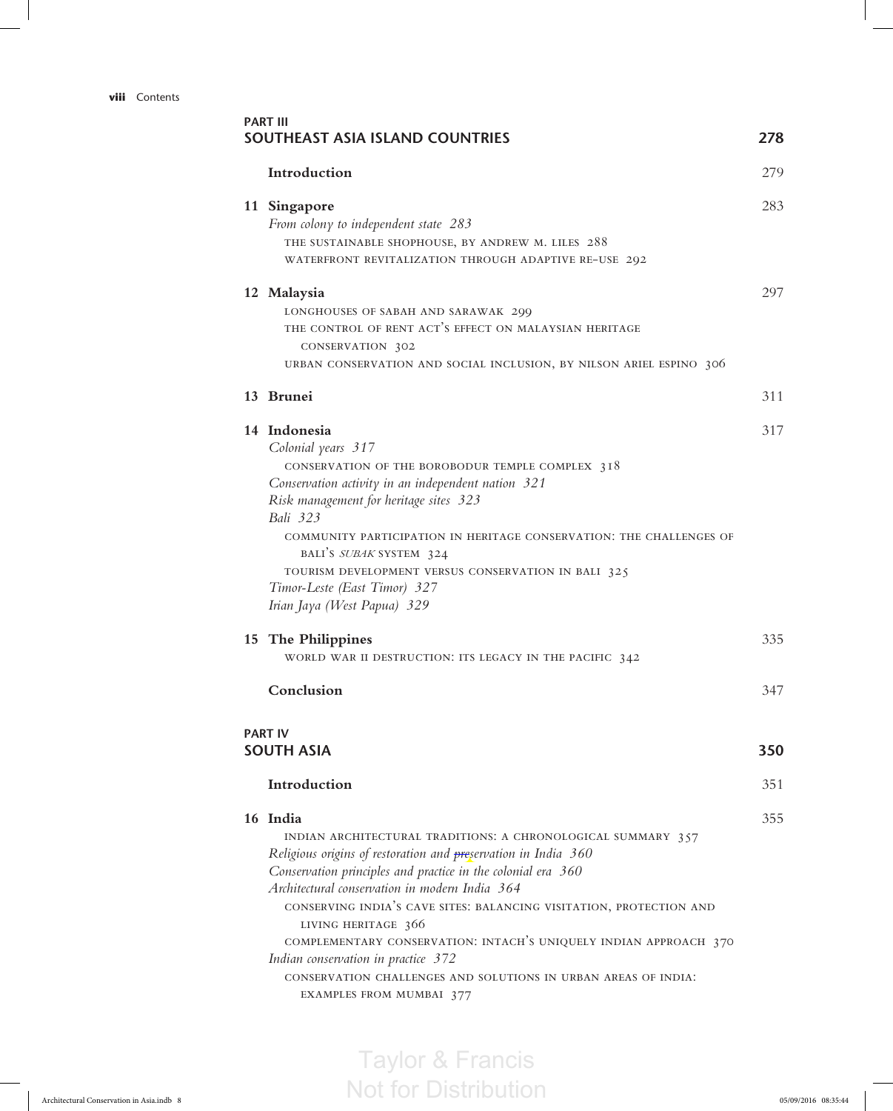## **viii** Contents

|  | Introduction                                                                                 | 279 |
|--|----------------------------------------------------------------------------------------------|-----|
|  | 11 Singapore                                                                                 | 283 |
|  | From colony to independent state 283                                                         |     |
|  | THE SUSTAINABLE SHOPHOUSE, BY ANDREW M. LILES 288                                            |     |
|  | WATERFRONT REVITALIZATION THROUGH ADAPTIVE RE-USE 292                                        |     |
|  | 12 Malaysia                                                                                  | 297 |
|  | LONGHOUSES OF SABAH AND SARAWAK 299                                                          |     |
|  | THE CONTROL OF RENT ACT'S EFFECT ON MALAYSIAN HERITAGE                                       |     |
|  | CONSERVATION 302                                                                             |     |
|  | URBAN CONSERVATION AND SOCIAL INCLUSION, BY NILSON ARIEL ESPINO 306                          |     |
|  | 13 Brunei                                                                                    | 311 |
|  | 14 Indonesia                                                                                 | 317 |
|  | Colonial years 317                                                                           |     |
|  | CONSERVATION OF THE BOROBODUR TEMPLE COMPLEX 318                                             |     |
|  | Conservation activity in an independent nation 321<br>Risk management for heritage sites 323 |     |
|  | Bali 323                                                                                     |     |
|  | COMMUNITY PARTICIPATION IN HERITAGE CONSERVATION: THE CHALLENGES OF                          |     |
|  | BALI'S SUBAK SYSTEM 324                                                                      |     |
|  | TOURISM DEVELOPMENT VERSUS CONSERVATION IN BALI 325                                          |     |
|  | Timor-Leste (East Timor) 327                                                                 |     |
|  | Irian Jaya (West Papua) 329                                                                  |     |
|  | 15 The Philippines                                                                           | 335 |
|  | WORLD WAR II DESTRUCTION: ITS LEGACY IN THE PACIFIC 342                                      |     |
|  | Conclusion                                                                                   | 347 |
|  | <b>PART IV</b>                                                                               |     |
|  | <b>SOUTH ASIA</b>                                                                            | 350 |
|  | Introduction                                                                                 | 351 |
|  | 16 India                                                                                     | 355 |
|  | INDIAN ARCHITECTURAL TRADITIONS: A CHRONOLOGICAL SUMMARY 357                                 |     |
|  | Religious origins of restoration and <i>preservation in India</i> 360                        |     |
|  | Conservation principles and practice in the colonial era 360                                 |     |
|  | Architectural conservation in modern India 364                                               |     |
|  | CONSERVING INDIA'S CAVE SITES: BALANCING VISITATION, PROTECTION AND                          |     |
|  | LIVING HERITAGE 366<br>COMPLEMENTARY CONSERVATION: INTACH'S UNIQUELY INDIAN APPROACH 370     |     |
|  | Indian conservation in practice 372                                                          |     |
|  |                                                                                              |     |
|  | CONSERVATION CHALLENGES AND SOLUTIONS IN URBAN AREAS OF INDIA:                               |     |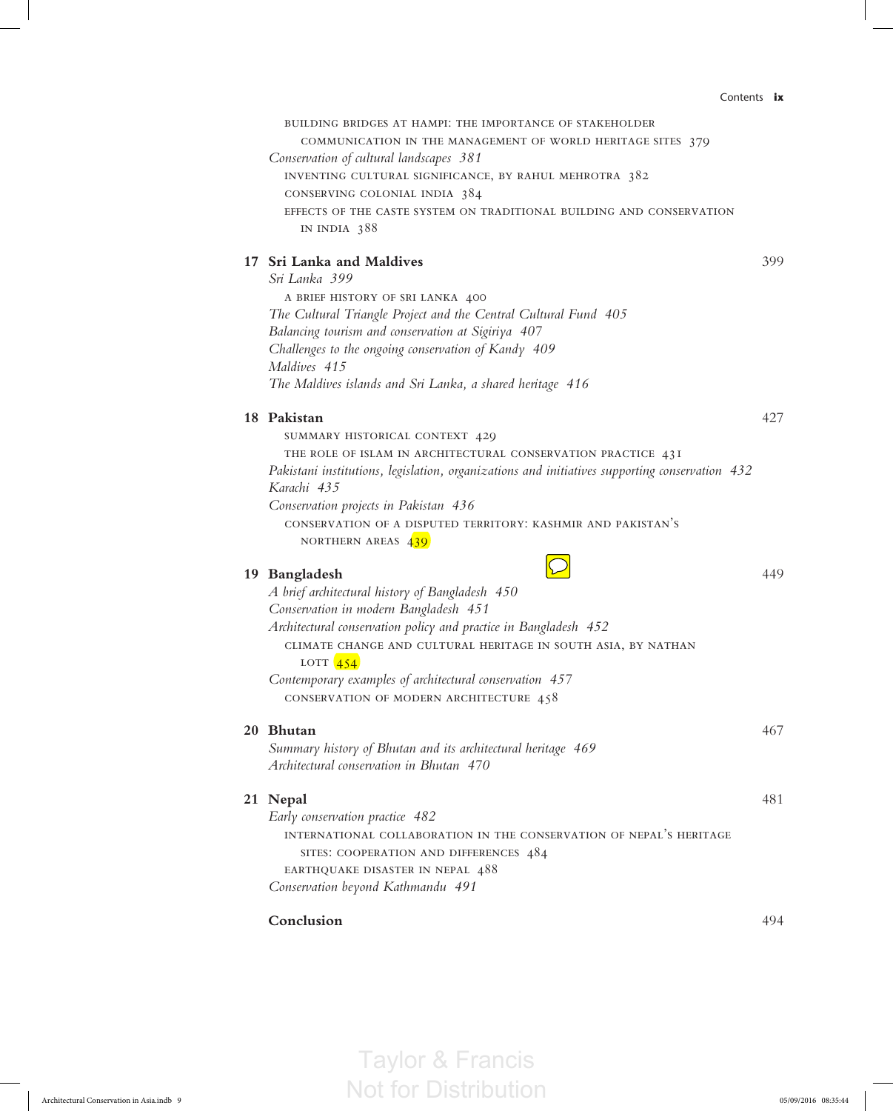|  | COMMUNICATION IN THE MANAGEMENT OF WORLD HERITAGE SITES 379                                    |     |
|--|------------------------------------------------------------------------------------------------|-----|
|  | Conservation of cultural landscapes 381                                                        |     |
|  | INVENTING CULTURAL SIGNIFICANCE, BY RAHUL MEHROTRA 382                                         |     |
|  | CONSERVING COLONIAL INDIA 384                                                                  |     |
|  | EFFECTS OF THE CASTE SYSTEM ON TRADITIONAL BUILDING AND CONSERVATION                           |     |
|  | IN INDIA 388                                                                                   |     |
|  | 17 Sri Lanka and Maldives                                                                      | 399 |
|  | Sri Lanka 399                                                                                  |     |
|  | A BRIEF HISTORY OF SRI LANKA 400                                                               |     |
|  | The Cultural Triangle Project and the Central Cultural Fund 405                                |     |
|  | Balancing tourism and conservation at Sigiriya 407                                             |     |
|  | Challenges to the ongoing conservation of Kandy 409                                            |     |
|  | Maldives 415<br>The Maldives islands and Sri Lanka, a shared heritage 416                      |     |
|  |                                                                                                |     |
|  | 18 Pakistan                                                                                    | 427 |
|  | SUMMARY HISTORICAL CONTEXT 429                                                                 |     |
|  | THE ROLE OF ISLAM IN ARCHITECTURAL CONSERVATION PRACTICE 43I                                   |     |
|  | Pakistani institutions, legislation, organizations and initiatives supporting conservation 432 |     |
|  | Karachi 435                                                                                    |     |
|  | Conservation projects in Pakistan 436                                                          |     |
|  | CONSERVATION OF A DISPUTED TERRITORY: KASHMIR AND PAKISTAN'S<br>NORTHERN AREAS 439             |     |
|  |                                                                                                |     |
|  | 19 Bangladesh                                                                                  | 449 |
|  | A brief architectural history of Bangladesh 450                                                |     |
|  | Conservation in modern Bangladesh 451                                                          |     |
|  | Architectural conservation policy and practice in Bangladesh 452                               |     |
|  | CLIMATE CHANGE AND CULTURAL HERITAGE IN SOUTH ASIA, BY NATHAN                                  |     |
|  | LOTT $\sqrt{454}$                                                                              |     |
|  | Contemporary examples of architectural conservation 457                                        |     |
|  | CONSERVATION OF MODERN ARCHITECTURE 458                                                        |     |
|  | 20 Bhutan                                                                                      | 467 |
|  | Summary history of Bhutan and its architectural heritage 469                                   |     |
|  | Architectural conservation in Bhutan 470                                                       |     |
|  | 21 Nepal                                                                                       | 481 |
|  | Early conservation practice 482                                                                |     |
|  | INTERNATIONAL COLLABORATION IN THE CONSERVATION OF NEPAL'S HERITAGE                            |     |
|  | SITES: COOPERATION AND DIFFERENCES 484                                                         |     |
|  | EARTHQUAKE DISASTER IN NEPAL 488                                                               |     |
|  | Conservation beyond Kathmandu 491                                                              |     |
|  | Conclusion                                                                                     | 494 |
|  |                                                                                                |     |
|  |                                                                                                |     |

building bridges at hampi: the importance of stakeholder

Taylor & Francis Not for Distribution Contents **ix**